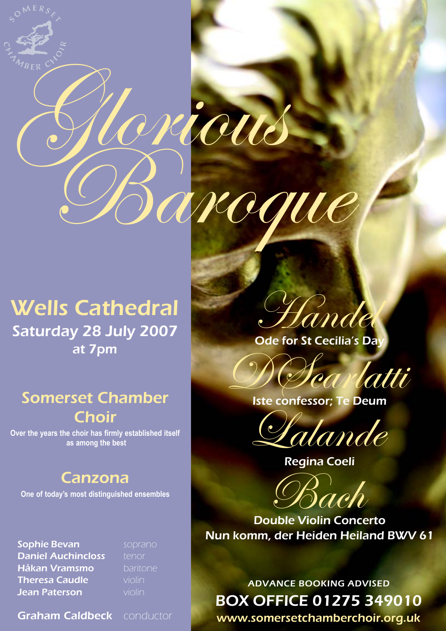# Baroque

riau.

# Wells Cathedral Saturday 28 July 2007 at 7pm

# Somerset Chamber **Choir**

**Over the years the choir has firmly established itself as among the best**

## Canzona

**One of today's most distinguished ensembles**

Sophie Bevan soprano **Daniel Auchincloss** tenor Håkan Vramsmo baritone **Theresa Caudle violin** Jean Paterson **violin** 

**Graham Caldbeck** conductor

Handel Ode for St Cecilia's Day



Lalande

Regina Coeli

Bach Double Violin Concerto

Nun komm, der Heiden Heiland BWV 61

ADVANCE BOOKING ADVISED BOX OFFICE 01275 349010 www.somersetchamberchoir.org.uk